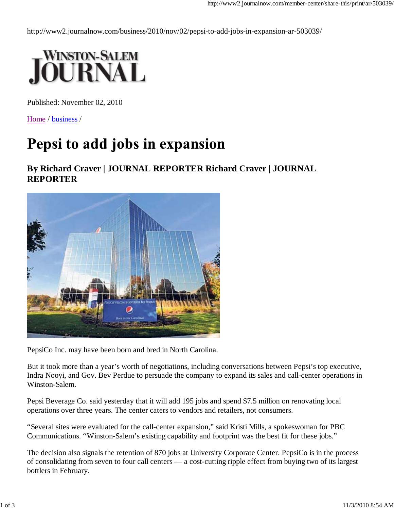http://www2.journalnow.com/business/2010/nov/02/pepsi-to-add-jobs-in-expansion-ar-503039/



Published: November 02, 2010

Home / business /

## Pepsi to add jobs in expansion

## **By Richard Craver | JOURNAL REPORTER Richard Craver | JOURNAL REPORTER**



PepsiCo Inc. may have been born and bred in North Carolina.

But it took more than a year's worth of negotiations, including conversations between Pepsi's top executive, Indra Nooyi, and Gov. Bev Perdue to persuade the company to expand its sales and call-center operations in Winston-Salem.

Pepsi Beverage Co. said yesterday that it will add 195 jobs and spend \$7.5 million on renovating local operations over three years. The center caters to vendors and retailers, not consumers.

"Several sites were evaluated for the call-center expansion," said Kristi Mills, a spokeswoman for PBC Communications. "Winston-Salem's existing capability and footprint was the best fit for these jobs."

The decision also signals the retention of 870 jobs at University Corporate Center. PepsiCo is in the process of consolidating from seven to four call centers — a cost-cutting ripple effect from buying two of its largest bottlers in February.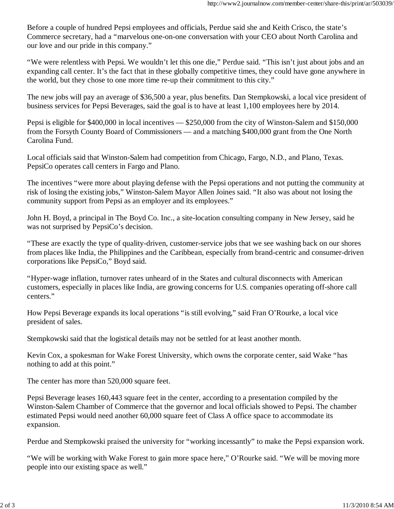Before a couple of hundred Pepsi employees and officials, Perdue said she and Keith Crisco, the state's Commerce secretary, had a "marvelous one-on-one conversation with your CEO about North Carolina and our love and our pride in this company."

"We were relentless with Pepsi. We wouldn't let this one die," Perdue said. "This isn't just about jobs and an expanding call center. It's the fact that in these globally competitive times, they could have gone anywhere in the world, but they chose to one more time re-up their commitment to this city."

The new jobs will pay an average of \$36,500 a year, plus benefits. Dan Stempkowski, a local vice president of business services for Pepsi Beverages, said the goal is to have at least 1,100 employees here by 2014.

Pepsi is eligible for \$400,000 in local incentives — \$250,000 from the city of Winston-Salem and \$150,000 from the Forsyth County Board of Commissioners — and a matching \$400,000 grant from the One North Carolina Fund.

Local officials said that Winston-Salem had competition from Chicago, Fargo, N.D., and Plano, Texas. PepsiCo operates call centers in Fargo and Plano.

The incentives "were more about playing defense with the Pepsi operations and not putting the community at risk of losing the existing jobs," Winston-Salem Mayor Allen Joines said. "It also was about not losing the community support from Pepsi as an employer and its employees."

John H. Boyd, a principal in The Boyd Co. Inc., a site-location consulting company in New Jersey, said he was not surprised by PepsiCo's decision.

"These are exactly the type of quality-driven, customer-service jobs that we see washing back on our shores from places like India, the Philippines and the Caribbean, especially from brand-centric and consumer-driven corporations like PepsiCo," Boyd said.

"Hyper-wage inflation, turnover rates unheard of in the States and cultural disconnects with American customers, especially in places like India, are growing concerns for U.S. companies operating off-shore call centers."

How Pepsi Beverage expands its local operations "is still evolving," said Fran O'Rourke, a local vice president of sales.

Stempkowski said that the logistical details may not be settled for at least another month.

Kevin Cox, a spokesman for Wake Forest University, which owns the corporate center, said Wake "has nothing to add at this point."

The center has more than 520,000 square feet.

Pepsi Beverage leases 160,443 square feet in the center, according to a presentation compiled by the Winston-Salem Chamber of Commerce that the governor and local officials showed to Pepsi. The chamber estimated Pepsi would need another 60,000 square feet of Class A office space to accommodate its expansion.

Perdue and Stempkowski praised the university for "working incessantly" to make the Pepsi expansion work.

"We will be working with Wake Forest to gain more space here," O'Rourke said. "We will be moving more people into our existing space as well."